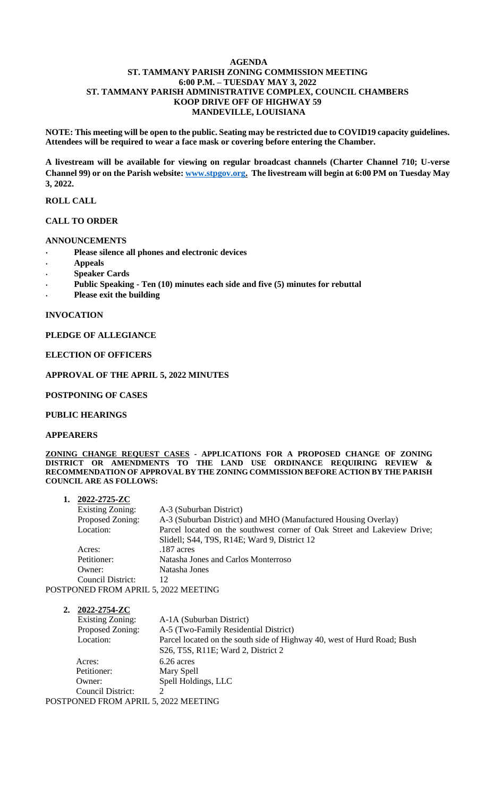#### **AGENDA ST. TAMMANY PARISH ZONING COMMISSION MEETING 6:00 P.M. – TUESDAY MAY 3, 2022 ST. TAMMANY PARISH ADMINISTRATIVE COMPLEX, COUNCIL CHAMBERS KOOP DRIVE OFF OF HIGHWAY 59 MANDEVILLE, LOUISIANA**

**NOTE: This meeting will be open to the public. Seating may be restricted due to COVID19 capacity guidelines. Attendees will be required to wear a face mask or covering before entering the Chamber.** 

**A livestream will be available for viewing on regular broadcast channels (Charter Channel 710; U-verse Channel 99) or on the Parish website[: www.stpgov.org.](http://www.stpgov.org/) The livestream will begin at 6:00 PM on Tuesday May 3, 2022.**

### **ROLL CALL**

#### **CALL TO ORDER**

#### **ANNOUNCEMENTS**

- **Please silence all phones and electronic devices**
- **Appeals**
- **Speaker Cards**
- **Public Speaking - Ten (10) minutes each side and five (5) minutes for rebuttal**
- **Please exit the building**

#### **INVOCATION**

### **PLEDGE OF ALLEGIANCE**

#### **ELECTION OF OFFICERS**

#### **APPROVAL OF THE APRIL 5, 2022 MINUTES**

#### **POSTPONING OF CASES**

#### **PUBLIC HEARINGS**

#### **APPEARERS**

**ZONING CHANGE REQUEST CASES - APPLICATIONS FOR A PROPOSED CHANGE OF ZONING DISTRICT OR AMENDMENTS TO THE LAND USE ORDINANCE REQUIRING REVIEW & RECOMMENDATION OF APPROVAL BY THE ZONING COMMISSION BEFORE ACTION BY THE PARISH COUNCIL ARE AS FOLLOWS:**

| 1. | 2022-2725-ZC                                                    |                                                                          |
|----|-----------------------------------------------------------------|--------------------------------------------------------------------------|
|    | <b>Existing Zoning:</b>                                         | A-3 (Suburban District)                                                  |
|    | Proposed Zoning:                                                | A-3 (Suburban District) and MHO (Manufactured Housing Overlay)           |
|    | Location:                                                       | Parcel located on the southwest corner of Oak Street and Lakeview Drive; |
|    |                                                                 | Slidell; S44, T9S, R14E; Ward 9, District 12                             |
|    | Acres:                                                          | .187 acres                                                               |
|    | Petitioner:                                                     | Natasha Jones and Carlos Monterroso                                      |
|    | Owner:                                                          | Natasha Jones                                                            |
|    | Council District:                                               | 12                                                                       |
|    | $\mathbb{R}$ and $\mathbb{R}$ and $\mathbb{R}$ and $\mathbb{R}$ | $\epsilon$ and ifferent $\alpha$                                         |

POSTPONED FROM APRIL 5, 2022 MEETING

| 2022-2754-ZC                         |                                                                         |
|--------------------------------------|-------------------------------------------------------------------------|
| <b>Existing Zoning:</b>              | A-1A (Suburban District)                                                |
| Proposed Zoning:                     | A-5 (Two-Family Residential District)                                   |
| Location:                            | Parcel located on the south side of Highway 40, west of Hurd Road; Bush |
|                                      | S26, T5S, R11E; Ward 2, District 2                                      |
| Acres:                               | $6.26$ acres                                                            |
| Petitioner:                          | Mary Spell                                                              |
| Owner:                               | Spell Holdings, LLC                                                     |
| Council District:                    | ∍                                                                       |
| POSTPONED FROM APRIL 5, 2022 MEETING |                                                                         |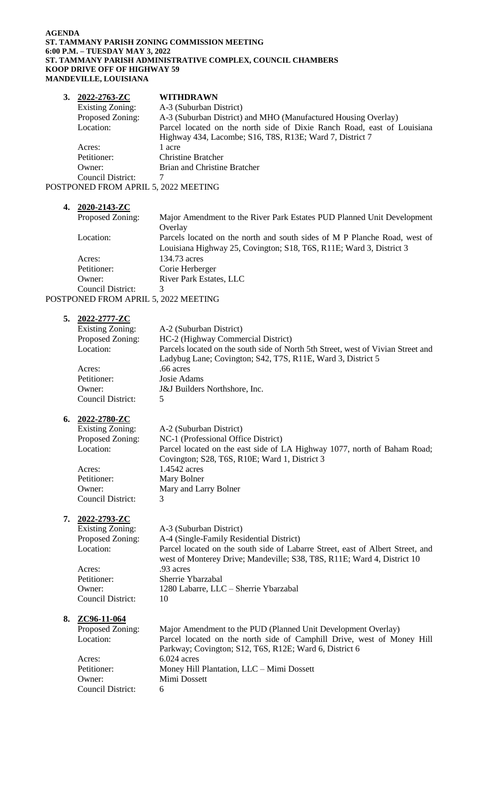#### **AGENDA ST. TAMMANY PARISH ZONING COMMISSION MEETING 6:00 P.M. – TUESDAY MAY 3, 2022 ST. TAMMANY PARISH ADMINISTRATIVE COMPLEX, COUNCIL CHAMBERS KOOP DRIVE OFF OF HIGHWAY 59 MANDEVILLE, LOUISIANA**

| 2022-2763-ZC                         | <b>WITHDRAWN</b>                                                        |
|--------------------------------------|-------------------------------------------------------------------------|
| <b>Existing Zoning:</b>              | A-3 (Suburban District)                                                 |
| Proposed Zoning:                     | A-3 (Suburban District) and MHO (Manufactured Housing Overlay)          |
| Location:                            | Parcel located on the north side of Dixie Ranch Road, east of Louisiana |
|                                      | Highway 434, Lacombe; S16, T8S, R13E; Ward 7, District 7                |
| Acres:                               | 1 acre                                                                  |
| Petitioner:                          | <b>Christine Bratcher</b>                                               |
| Owner:                               | Brian and Christine Bratcher                                            |
| Council District:                    |                                                                         |
| POSTPONED FROM APRIL 5, 2022 MEETING |                                                                         |

| 4. | 2020-2143-ZC      |                                                                           |
|----|-------------------|---------------------------------------------------------------------------|
|    | Proposed Zoning:  | Major Amendment to the River Park Estates PUD Planned Unit Development    |
|    |                   | Overlay                                                                   |
|    | Location:         | Parcels located on the north and south sides of M P Planche Road, west of |
|    |                   | Louisiana Highway 25, Covington; S18, T6S, R11E; Ward 3, District 3       |
|    | Acres:            | 134.73 acres                                                              |
|    | Petitioner:       | Corie Herberger                                                           |
|    | Owner:            | <b>River Park Estates, LLC</b>                                            |
|    | Council District: | 3                                                                         |
|    | $P_{\mathbf{D}}$  | $0.022$ $\mu$ $\mu$ $\mu$ $\mu$ $\mu$                                     |

| POSTPONED FROM APRIL 5, 2022 MEETING |  |  |
|--------------------------------------|--|--|
|--------------------------------------|--|--|

| 5. | 2022-2777-ZC            |                                                                                  |
|----|-------------------------|----------------------------------------------------------------------------------|
|    | <b>Existing Zoning:</b> | A-2 (Suburban District)                                                          |
|    | Proposed Zoning:        | HC-2 (Highway Commercial District)                                               |
|    | Location:               | Parcels located on the south side of North 5th Street, west of Vivian Street and |
|    |                         | Ladybug Lane; Covington; S42, T7S, R11E, Ward 3, District 5                      |
|    | Acres:                  | .66 acres                                                                        |
|    | Petitioner:             | Josie Adams                                                                      |
|    | Owner:                  | J&J Builders Northshore, Inc.                                                    |
|    | Council District:       | 5                                                                                |

# **6. 2022-2780-ZC**

| Existing Zoning: | A-2 (Suburban District)                                                                                                   |
|------------------|---------------------------------------------------------------------------------------------------------------------------|
| Proposed Zoning: | NC-1 (Professional Office District)                                                                                       |
| Location:        | Parcel located on the east side of LA Highway 1077, north of Baham Road;<br>Covington; S28, T6S, R10E; Ward 1, District 3 |

| Acres:            | 1.4542 acres          |
|-------------------|-----------------------|
| Petitioner:       | Mary Bolner           |
| Owner:            | Mary and Larry Bolner |
| Council District: |                       |

# **7. 2022-2793-ZC**

Existing Zoning: A-3 (Suburban District) Proposed Zoning: A-4 (Single-Family Residential District) Location: Parcel located on the south side of Labarre Street, east of Albert Street, and west of Monterey Drive; Mandeville; S38, T8S, R11E; Ward 4, District 10 Acres: .93 acres Petitioner: Sherrie Ybarzabal Owner: 1280 Labarre, LLC – Sherrie Ybarzabal Council District: 10

# **8. ZC96-11-064**

| Proposed Zoning:  | Major Amendment to the PUD (Planned Unit Development Overlay)          |
|-------------------|------------------------------------------------------------------------|
| Location:         | Parcel located on the north side of Camphill Drive, west of Money Hill |
|                   | Parkway; Covington; S12, T6S, R12E; Ward 6, District 6                 |
| Acres:            | $6.024$ acres                                                          |
| Petitioner:       | Money Hill Plantation, LLC – Mimi Dossett                              |
| Owner:            | Mimi Dossett                                                           |
| Council District: | 6                                                                      |